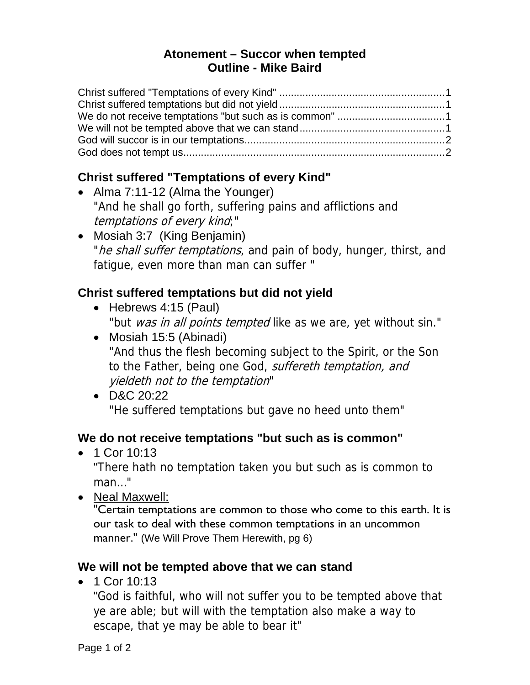#### **Atonement – Succor when tempted Outline - Mike Baird**

# **Christ suffered "Temptations of every Kind"**

- Alma 7:11-12 (Alma the Younger) "And he shall go forth, suffering pains and afflictions and temptations of every kind;"
- Mosiah 3:7 (King Benjamin) "he shall suffer temptations, and pain of body, hunger, thirst, and fatigue, even more than man can suffer "

# **Christ suffered temptations but did not yield**

- Hebrews 4:15 (Paul) "but was in all points tempted like as we are, yet without sin."
- Mosiah 15:5 (Abinadi) "And thus the flesh becoming subject to the Spirit, or the Son to the Father, being one God, *suffereth temptation, and* yieldeth not to the temptation"
- D&C 20:22 "He suffered temptations but gave no heed unto them"

### **We do not receive temptations "but such as is common"**

• 1 Cor 10:13

"There hath no temptation taken you but such as is common to man…"

• Neal Maxwell:

"Certain temptations are common to those who come to this earth. It is our task to deal with these common temptations in an uncommon manner." (We Will Prove Them Herewith, pg 6)

### **We will not be tempted above that we can stand**

• 1 Cor 10:13

"God is faithful, who will not suffer you to be tempted above that ye are able; but will with the temptation also make a way to escape, that ye may be able to bear it"